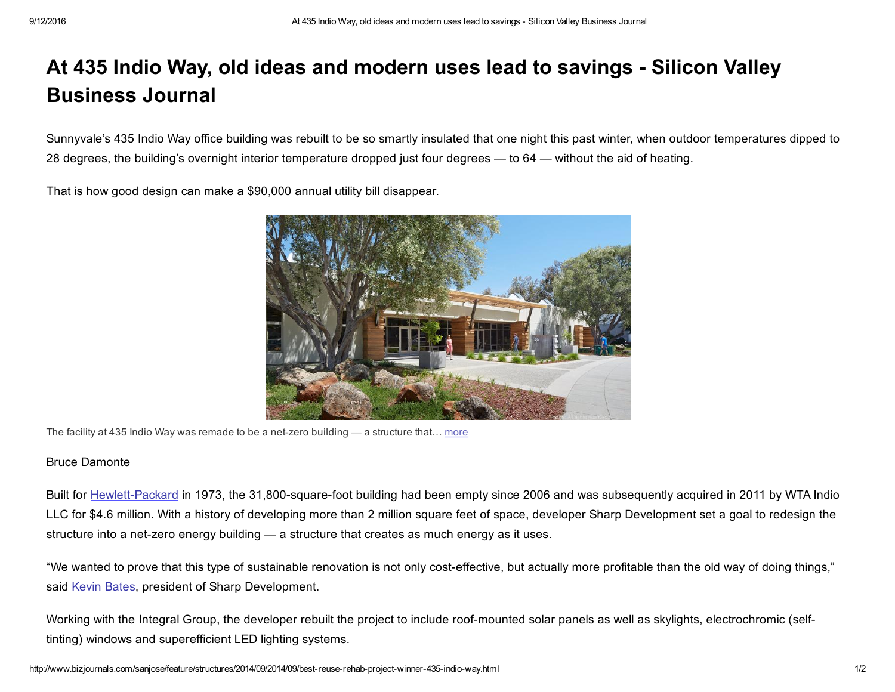## At 435 Indio Way, old ideas and modern uses lead to savings - Silicon Valley Business Journal

Sunnyvale's 435 Indio Way office building was rebuilt to be so smartly insulated that one night this past winter, when outdoor temperatures dipped to 28 degrees, the building's overnight interior temperature dropped just four degrees — to 64 — without the aid of heating.

That is how good design can make a \$90,000 annual utility bill disappear.



The facility at 435 Indio Way was remade to be a net-zero building  $-$  a structure that... [more](http://www.bizjournals.com/sanjose/feature/structures/2014/09/2014/09/best-reuse-rehab-project-winner-435-indio-way.html#i1)

## Bruce Damonte

Built for Hewlett-Packard in 1973, the 31,800-square-foot building had been empty since 2006 and was subsequently acquired in 2011 by WTA Indio LLC for \$4.6 million. With a history of developing more than 2 million square feet of space, developer Sharp Development set a goal to redesign the structure into a net-zero energy building — a structure that creates as much energy as it uses.

"We wanted to prove that this type of sustainable renovation is not only cost-effective, but actually more profitable than the old way of doing things," said Kevin [Bates,](https://securepubads.g.doubleclick.net/pcs/view?xai=AKAOjsu9rytJDgOkr0j4Q_tjRWTdPuwfh6Uc1U4EeMofUfqL2c7fNASWQWWyv41FoE90xDx7AZD6MATsIhJSsYuXtelMtZXFjNfCypP1oqnY2O6k9BeayBV4Xw2Fuv3ET_B_hkXKhWuyYdmkrgmG5c-KRVOHaFbEyAEm91bxReeiJY74fX3bitBu0CJuNTZiWyhTe1kzIS2olW16leMHZtMSOvyXiXn_FLqk-Zu3T6FbfqPy3Ur_Kj6lcYiBQqx1qrh7Hg5_hEmUzE9McA4S2Sp9d8G-zJmhNLOthgCPoxo2&sig=Cg0ArKJSzCZf3AcFiCfhEAE&urlfix=1&adurl=https://tpc.googlesyndication.com/pagead/imgad?id=CICAgKDLotvCKhABGAEyCJEQdAOaNeuf&t=10&cT=http%3A//bizjournals.com&l=http%3A//www.bizjournals.com/sanjose/search/results%3Fq%3DKevin%2520Bates) president of Sharp Development.

Working with the Integral Group, the developer rebuilt the project to include roof-mounted solar panels as well as skylights, electrochromic (selftinting) windows and superefficient LED lighting systems.